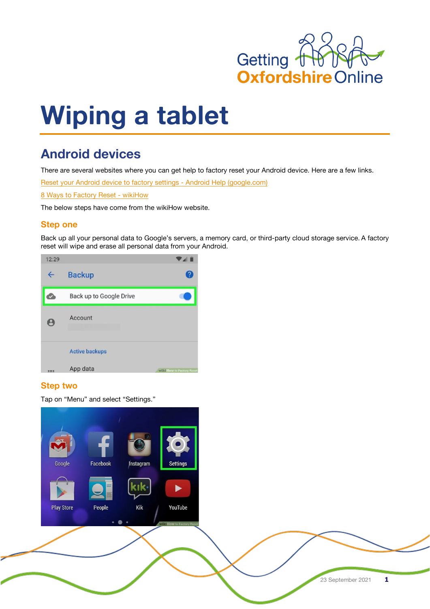

# **Wiping a tablet**

# **Android devices**

There are several websites where you can get help to factory reset your Android device. Here are a few links.

Reset your Android device to factory settings - Android Help (google.com)

8 Ways to Factory Reset - wikiHow

The below steps have come from the wikiHow website.

# **Step one**

Back up all your personal data to Google's servers, a memory card, or third-party cloud storage service. A factory reset will wipe and erase all personal data from your Android.



## **Step two**

Tap on "Menu" and select "Settings."

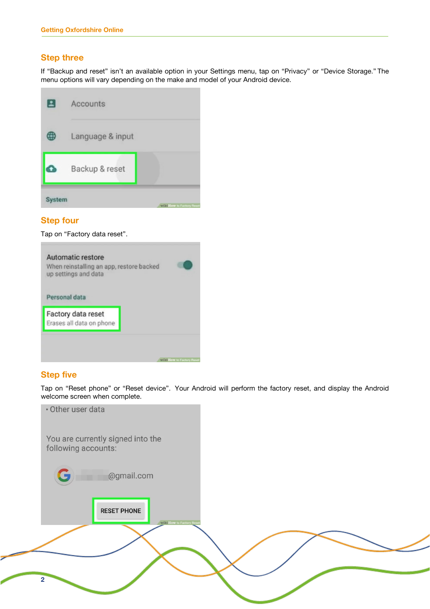### **Step three**

If "Backup and reset" isn't an available option in your Settings menu, tap on "Privacy" or "Device Storage." The menu options will vary depending on the make and model of your Android device.



## **Step four**

Tap on "Factory data reset".



#### **Step five**

Tap on "Reset phone" or "Reset device". Your Android will perform the factory reset, and display the Android welcome screen when complete.